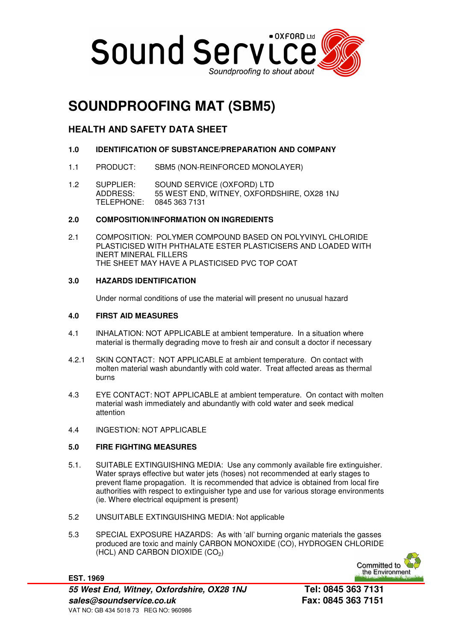

# **SOUNDPROOFING MAT (SBM5)**

# **HEALTH AND SAFETY DATA SHEET**

- **1.0 IDENTIFICATION OF SUBSTANCE/PREPARATION AND COMPANY**
- 1.1 PRODUCT: SBM5 (NON-REINFORCED MONOLAYER)
- 1.2 SUPPLIER: SOUND SERVICE (OXFORD) LTD ADDRESS: 55 WEST END, WITNEY, OXFORDSHIRE, OX28 1NJ TELEPHONE: 0845 363 7131

## **2.0 COMPOSITION/INFORMATION ON INGREDIENTS**

2.1 COMPOSITION: POLYMER COMPOUND BASED ON POLYVINYL CHLORIDE PLASTICISED WITH PHTHALATE ESTER PLASTICISERS AND LOADED WITH INERT MINERAL FILLERS THE SHEET MAY HAVE A PLASTICISED PVC TOP COAT

# **3.0 HAZARDS IDENTIFICATION**

Under normal conditions of use the material will present no unusual hazard

## **4.0 FIRST AID MEASURES**

- 4.1 INHALATION: NOT APPLICABLE at ambient temperature. In a situation where material is thermally degrading move to fresh air and consult a doctor if necessary
- 4.2.1 SKIN CONTACT: NOT APPLICABLE at ambient temperature. On contact with molten material wash abundantly with cold water. Treat affected areas as thermal burns
- 4.3 EYE CONTACT: NOT APPLICABLE at ambient temperature. On contact with molten material wash immediately and abundantly with cold water and seek medical attention
- 4.4 INGESTION: NOT APPLICABLE

# **5.0 FIRE FIGHTING MEASURES**

- 5.1. SUITABLE EXTINGUISHING MEDIA: Use any commonly available fire extinguisher. Water sprays effective but water jets (hoses) not recommended at early stages to prevent flame propagation. It is recommended that advice is obtained from local fire authorities with respect to extinguisher type and use for various storage environments (ie. Where electrical equipment is present)
- 5.2 UNSUITABLE EXTINGUISHING MEDIA: Not applicable
- 5.3 SPECIAL EXPOSURE HAZARDS: As with 'all' burning organic materials the gasses produced are toxic and mainly CARBON MONOXIDE (CO), HYDROGEN CHLORIDE  $(HCL)$  AND CARBON DIOXIDE  $(CO<sub>2</sub>)$

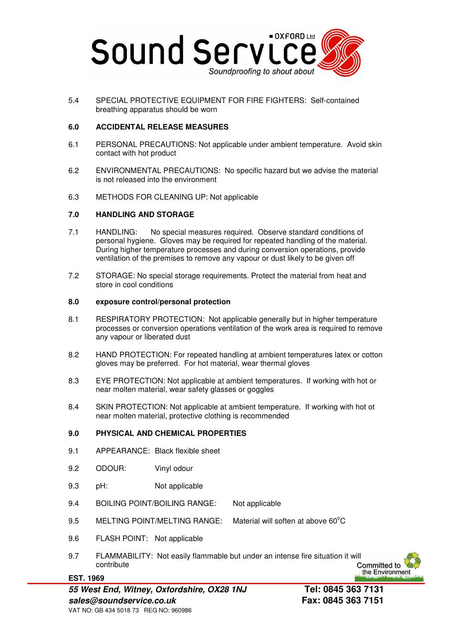

5.4 SPECIAL PROTECTIVE EQUIPMENT FOR FIRE FIGHTERS: Self-contained breathing apparatus should be worn

## **6.0 ACCIDENTAL RELEASE MEASURES**

- 6.1 PERSONAL PRECAUTIONS: Not applicable under ambient temperature. Avoid skin contact with hot product
- 6.2 ENVIRONMENTAL PRECAUTIONS: No specific hazard but we advise the material is not released into the environment
- 6.3 METHODS FOR CLEANING UP: Not applicable

## **7.0 HANDLING AND STORAGE**

- 7.1 HANDLING: No special measures required. Observe standard conditions of personal hygiene. Gloves may be required for repeated handling of the material. During higher temperature processes and during conversion operations, provide ventilation of the premises to remove any vapour or dust likely to be given off
- 7.2 STORAGE: No special storage requirements. Protect the material from heat and store in cool conditions

#### **8.0 exposure control/personal protection**

- 8.1 RESPIRATORY PROTECTION: Not applicable generally but in higher temperature processes or conversion operations ventilation of the work area is required to remove any vapour or liberated dust
- 8.2 HAND PROTECTION: For repeated handling at ambient temperatures latex or cotton gloves may be preferred. For hot material, wear thermal gloves
- 8.3 EYE PROTECTION: Not applicable at ambient temperatures. If working with hot or near molten material, wear safety glasses or goggles
- 8.4 SKIN PROTECTION: Not applicable at ambient temperature. If working with hot ot near molten material, protective clothing is recommended

#### **9.0 PHYSICAL AND CHEMICAL PROPERTIES**

- 9.1 APPEARANCE: Black flexible sheet
- 9.2 ODOUR: Vinyl odour
- 9.3 pH: Not applicable
- 9.4 BOILING POINT/BOILING RANGE: Not applicable
- 9.5 MELTING POINT/MELTING RANGE: Material will soften at above 60°C
- 9.6 FLASH POINT: Not applicable

**EST. 1969**

9.7 FLAMMABILITY: Not easily flammable but under an intense fire situation it will contribute

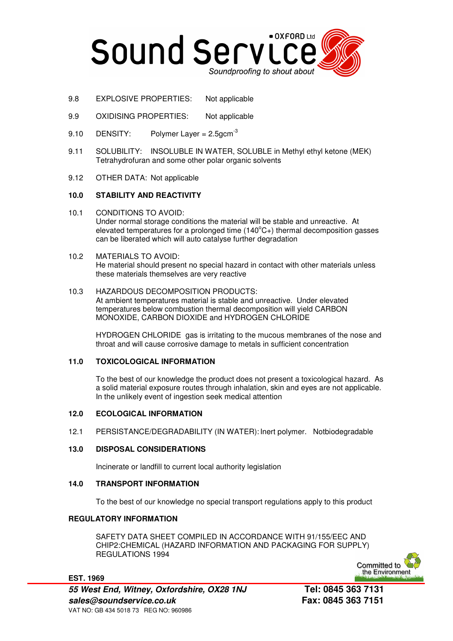

- 9.8 EXPLOSIVE PROPERTIES: Not applicable
- 9.9 OXIDISING PROPERTIES: Not applicable
- 9.10 DENSITY: Polymer Layer =  $2.5$ gcm<sup>-3</sup>
- 9.11 SOLUBILITY: INSOLUBLE IN WATER, SOLUBLE in Methyl ethyl ketone (MEK) Tetrahydrofuran and some other polar organic solvents
- 9.12 OTHER DATA: Not applicable

## **10.0 STABILITY AND REACTIVITY**

10.1 CONDITIONS TO AVOID: Under normal storage conditions the material will be stable and unreactive. At elevated temperatures for a prolonged time  $(140^{\circ}C_{+})$  thermal decomposition gasses can be liberated which will auto catalyse further degradation

## 10.2 MATERIALS TO AVOID:

He material should present no special hazard in contact with other materials unless these materials themselves are very reactive

# 10.3 HAZARDOUS DECOMPOSITION PRODUCTS:

At ambient temperatures material is stable and unreactive. Under elevated temperatures below combustion thermal decomposition will yield CARBON MONOXIDE, CARBON DIOXIDE and HYDROGEN CHLORIDE

HYDROGEN CHLORIDE gas is irritating to the mucous membranes of the nose and throat and will cause corrosive damage to metals in sufficient concentration

#### **11.0 TOXICOLOGICAL INFORMATION**

To the best of our knowledge the product does not present a toxicological hazard. As a solid material exposure routes through inhalation, skin and eyes are not applicable. In the unlikely event of ingestion seek medical attention

#### **12.0 ECOLOGICAL INFORMATION**

12.1 PERSISTANCE/DEGRADABILITY (IN WATER): Inert polymer. Notbiodegradable

## **13.0 DISPOSAL CONSIDERATIONS**

Incinerate or landfill to current local authority legislation

#### **14.0 TRANSPORT INFORMATION**

To the best of our knowledge no special transport regulations apply to this product

#### **REGULATORY INFORMATION**

**EST. 1969**

SAFETY DATA SHEET COMPILED IN ACCORDANCE WITH 91/155/EEC AND CHIP2:CHEMICAL (HAZARD INFORMATION AND PACKAGING FOR SUPPLY) REGULATIONS 1994



**55 West End, Witney, Oxfordshire, OX28 1NJ Tel: 0845 363 7131 sales@soundservice.co.uk Fax: 0845 363 7151**  VAT NO: GB 434 5018 73 REG NO: 960986